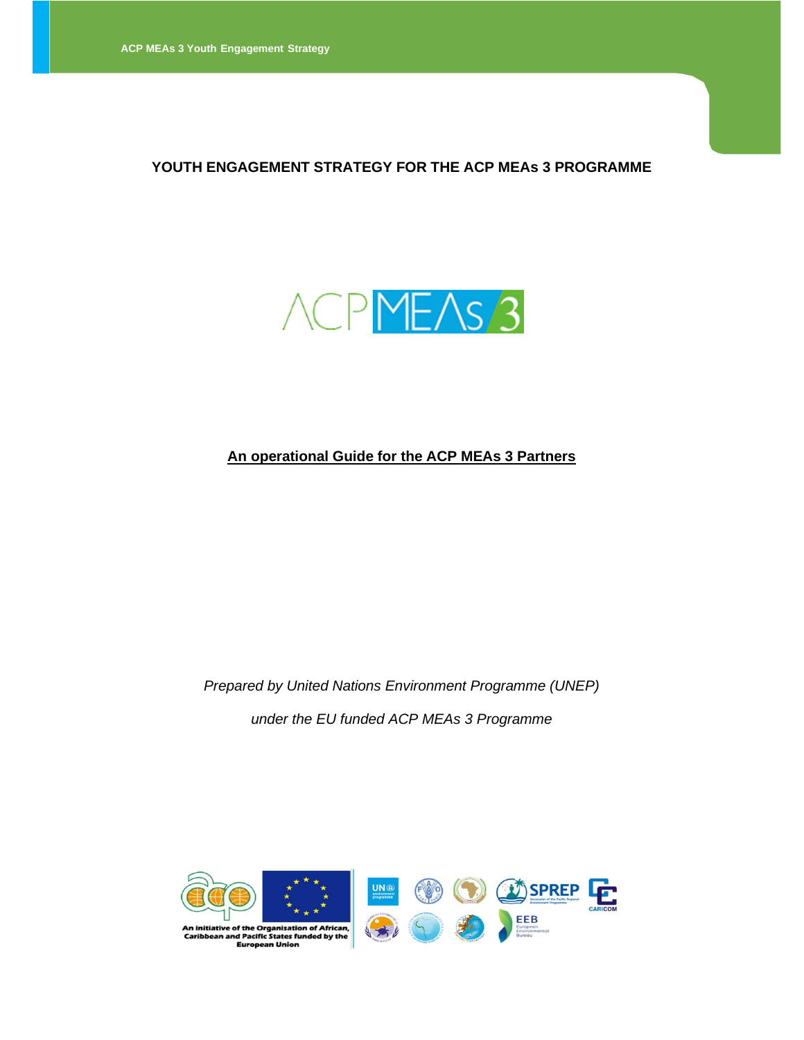#### **YOUTH ENGAGEMENT STRATEGY FOR THE ACP MEAs 3 PROGRAMME**



## **An operational Guide for the ACP MEAs 3 Partners**

*Prepared by United Nations Environment Programme (UNEP) under the EU funded ACP MEAs 3 Programme*

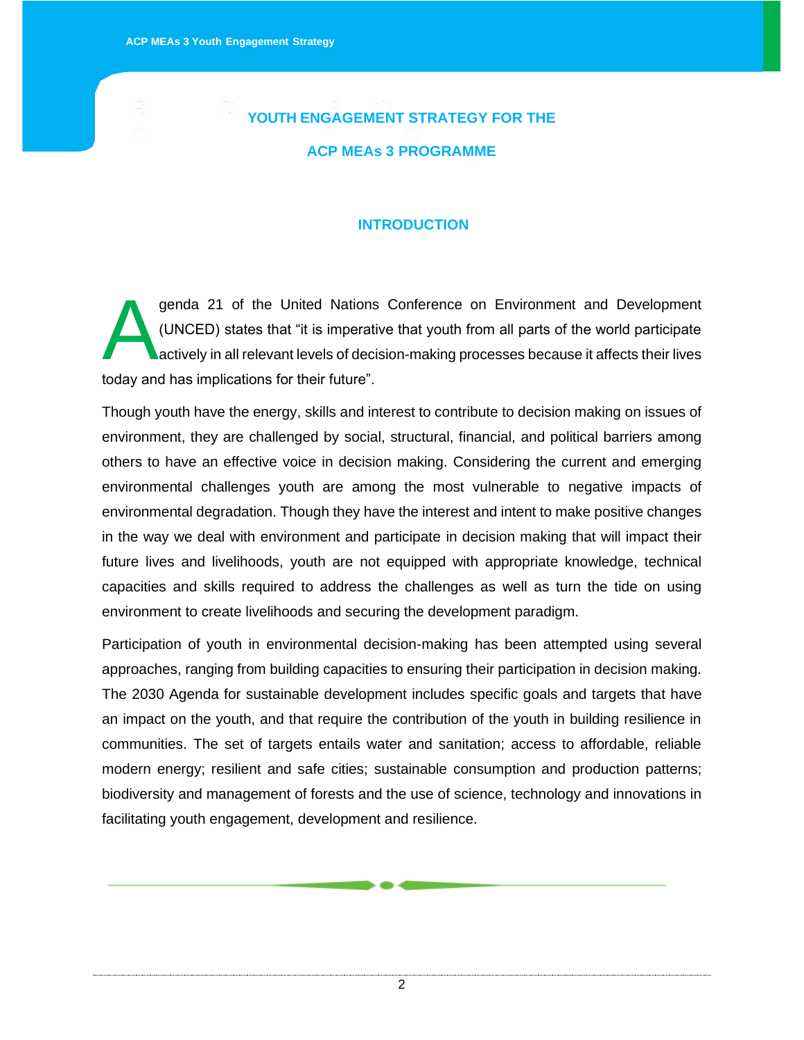# **YOUTH ENGAGEMENT STRATEGY FOR THE ACP MEAs 3 PROGRAMME**

#### **INTRODUCTION**

genda 21 of the United Nations Conference on Environment and Development (UNCED) states that "it is imperative that youth from all parts of the world participate actively in all relevant levels of decision-making processes because it affects their lives today and has implications for their future". A

Though youth have the energy, skills and interest to contribute to decision making on issues of environment, they are challenged by social, structural, financial, and political barriers among others to have an effective voice in decision making. Considering the current and emerging environmental challenges youth are among the most vulnerable to negative impacts of environmental degradation. Though they have the interest and intent to make positive changes in the way we deal with environment and participate in decision making that will impact their future lives and livelihoods, youth are not equipped with appropriate knowledge, technical capacities and skills required to address the challenges as well as turn the tide on using environment to create livelihoods and securing the development paradigm.

Participation of youth in environmental decision-making has been attempted using several approaches, ranging from building capacities to ensuring their participation in decision making. The 2030 Agenda for sustainable development includes specific goals and targets that have an impact on the youth, and that require the contribution of the youth in building resilience in communities. The set of targets entails water and sanitation; access to affordable, reliable modern energy; resilient and safe cities; sustainable consumption and production patterns; biodiversity and management of forests and the use of science, technology and innovations in facilitating youth engagement, development and resilience.

2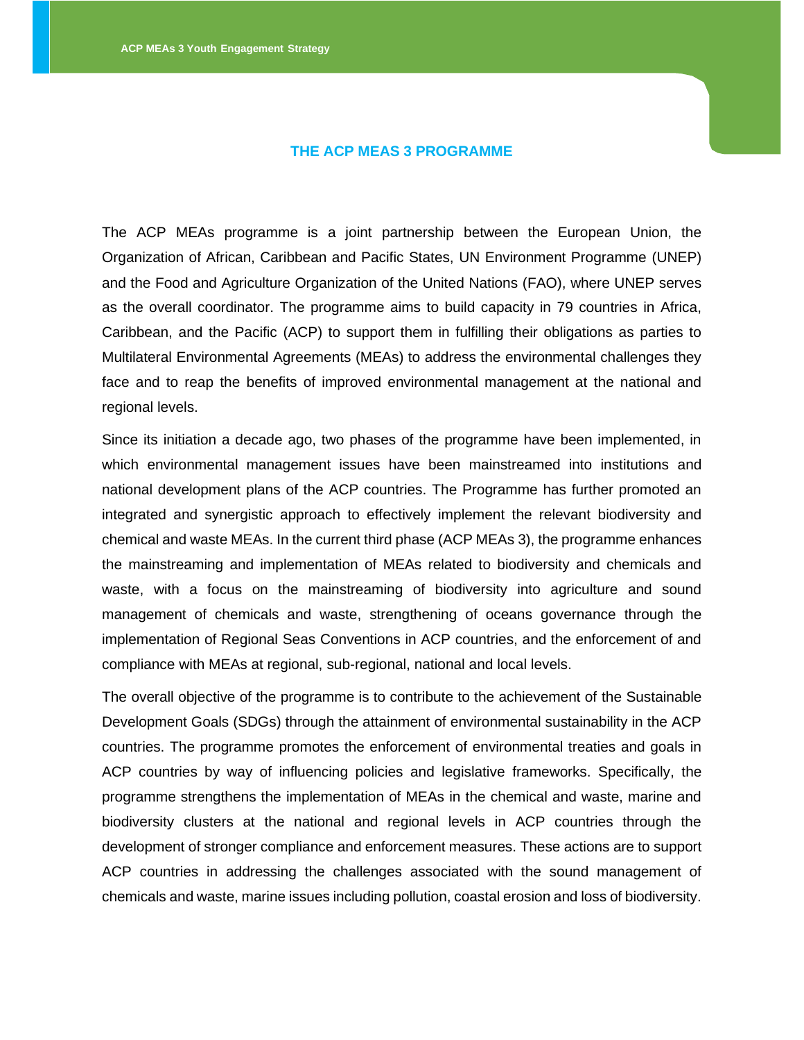#### **THE ACP MEAS 3 PROGRAMME**

The ACP MEAs programme is a joint partnership between the European Union, the Organization of African, Caribbean and Pacific States, UN Environment Programme (UNEP) and the Food and Agriculture Organization of the United Nations (FAO), where UNEP serves as the overall coordinator. The programme aims to build capacity in 79 countries in Africa, Caribbean, and the Pacific (ACP) to support them in fulfilling their obligations as parties to Multilateral Environmental Agreements (MEAs) to address the environmental challenges they face and to reap the benefits of improved environmental management at the national and regional levels.

Since its initiation a decade ago, two phases of the programme have been implemented, in which environmental management issues have been mainstreamed into institutions and national development plans of the ACP countries. The Programme has further promoted an integrated and synergistic approach to effectively implement the relevant biodiversity and chemical and waste MEAs. In the current third phase (ACP MEAs 3), the programme enhances the mainstreaming and implementation of MEAs related to biodiversity and chemicals and waste, with a focus on the mainstreaming of biodiversity into agriculture and sound management of chemicals and waste, strengthening of oceans governance through the implementation of Regional Seas Conventions in ACP countries, and the enforcement of and compliance with MEAs at regional, sub-regional, national and local levels.

The overall objective of the programme is to contribute to the achievement of the Sustainable Development Goals (SDGs) through the attainment of environmental sustainability in the ACP countries. The programme promotes the enforcement of environmental treaties and goals in ACP countries by way of influencing policies and legislative frameworks. Specifically, the programme strengthens the implementation of MEAs in the chemical and waste, marine and biodiversity clusters at the national and regional levels in ACP countries through the development of stronger compliance and enforcement measures. These actions are to support ACP countries in addressing the challenges associated with the sound management of chemicals and waste, marine issues including pollution, coastal erosion and loss of biodiversity.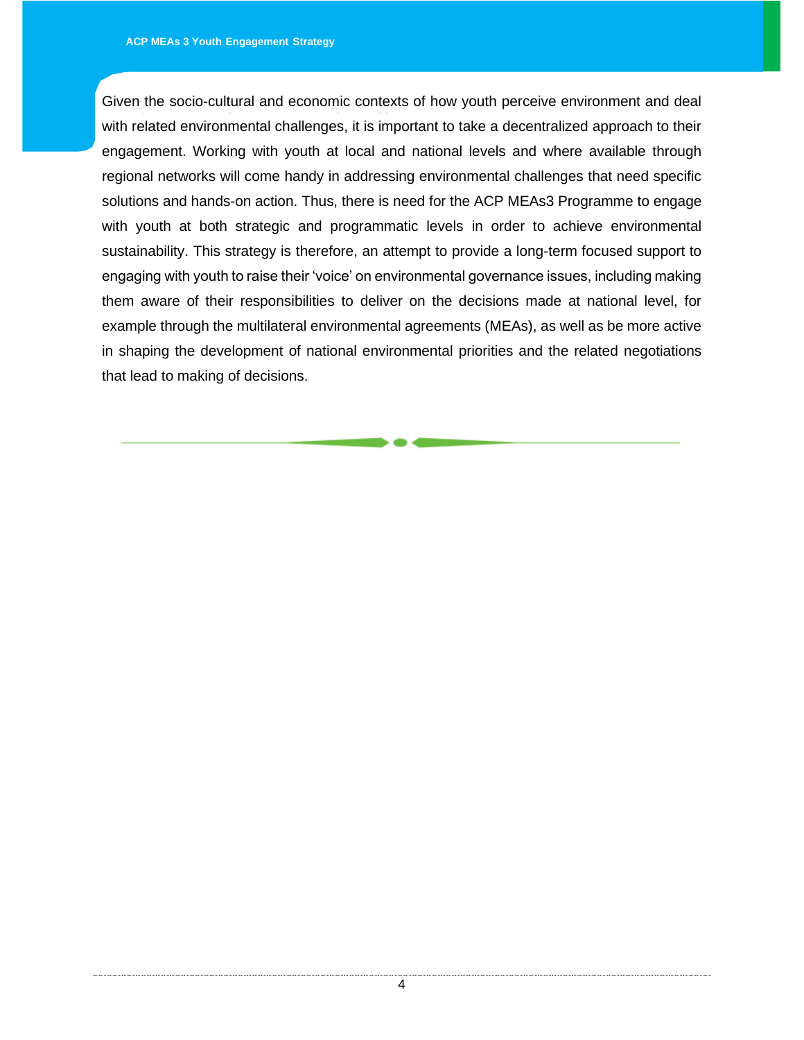Given the socio-cultural and economic contexts of how youth perceive environment and deal with related environmental challenges, it is important to take a decentralized approach to their engagement. Working with youth at local and national levels and where available through regional networks will come handy in addressing environmental challenges that need specific solutions and hands-on action. Thus, there is need for the ACP MEAs3 Programme to engage with youth at both strategic and programmatic levels in order to achieve environmental sustainability. This strategy is therefore, an attempt to provide a long-term focused support to engaging with youth to raise their 'voice' on environmental governance issues, including making them aware of their responsibilities to deliver on the decisions made at national level, for example through the multilateral environmental agreements (MEAs), as well as be more active in shaping the development of national environmental priorities and the related negotiations that lead to making of decisions.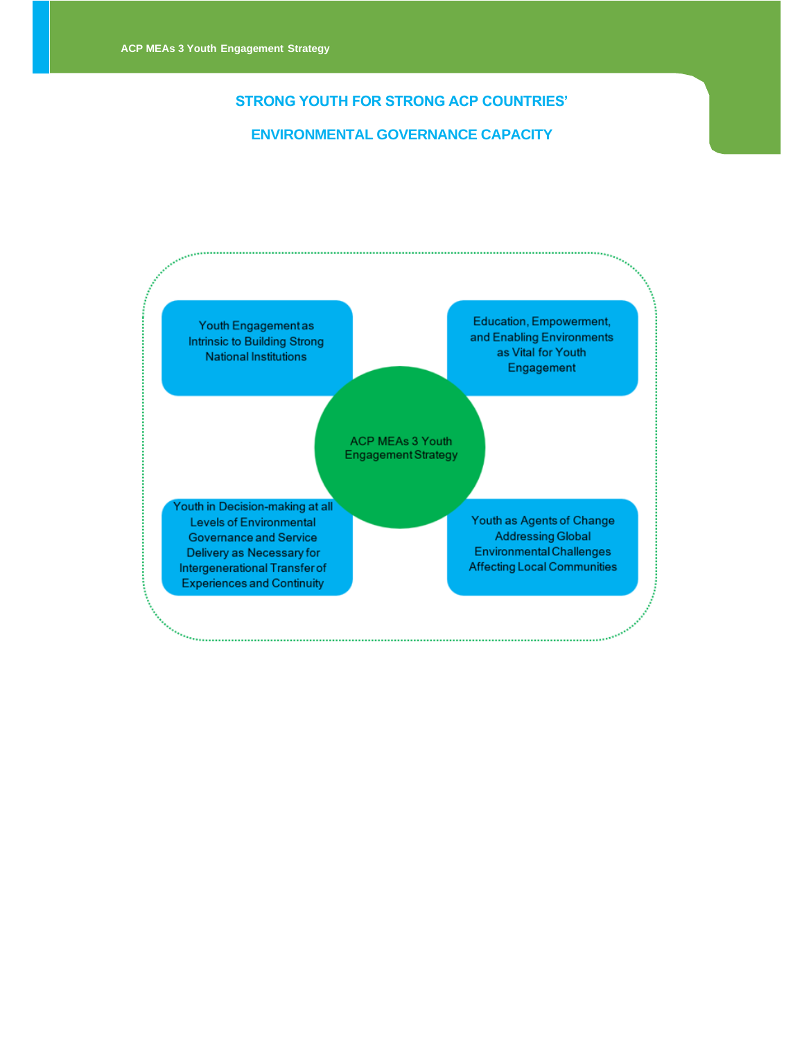#### **STRONG YOUTH FOR STRONG ACP COUNTRIES'**

#### **ENVIRONMENTAL GOVERNANCE CAPACITY**

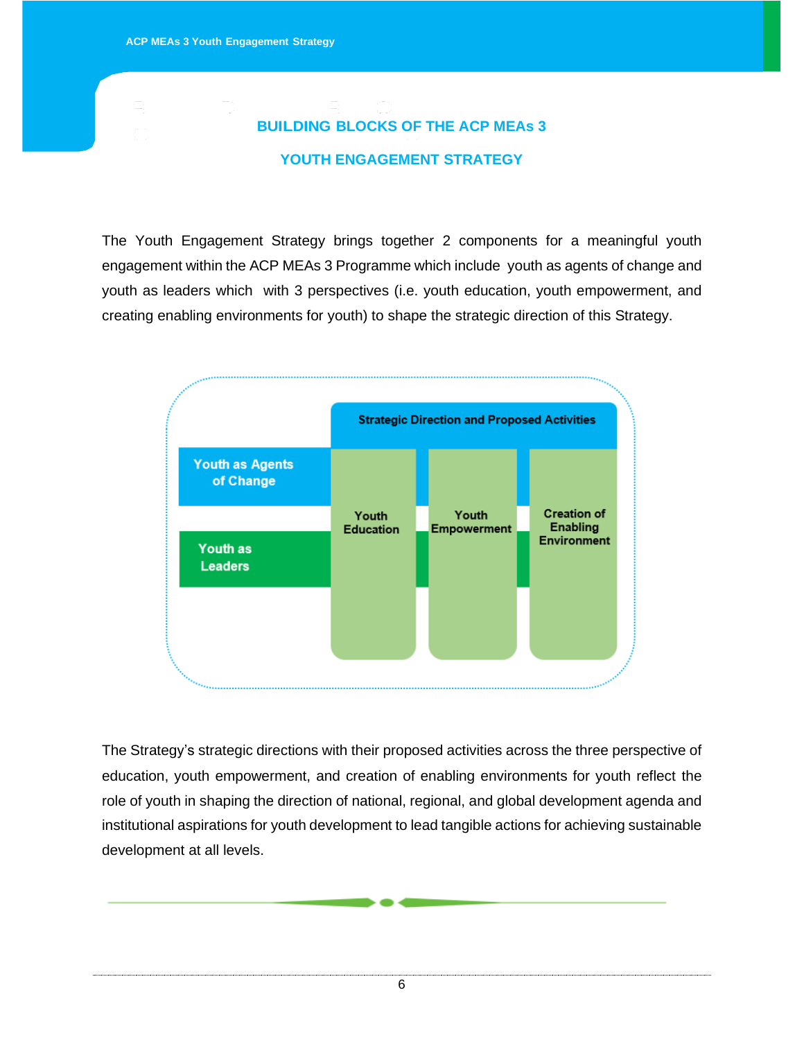# **BUILDING BLOCKS OF THE ACP MEAs 3 YOUTH ENGAGEMENT STRATEGY**

The Youth Engagement Strategy brings together 2 components for a meaningful youth engagement within the ACP MEAs 3 Programme which include youth as agents of change and youth as leaders which with 3 perspectives (i.e. youth education, youth empowerment, and creating enabling environments for youth) to shape the strategic direction of this Strategy.



The Strategy's strategic directions with their proposed activities across the three perspective of education, youth empowerment, and creation of enabling environments for youth reflect the role of youth in shaping the direction of national, regional, and global development agenda and institutional aspirations for youth development to lead tangible actions for achieving sustainable development at all levels.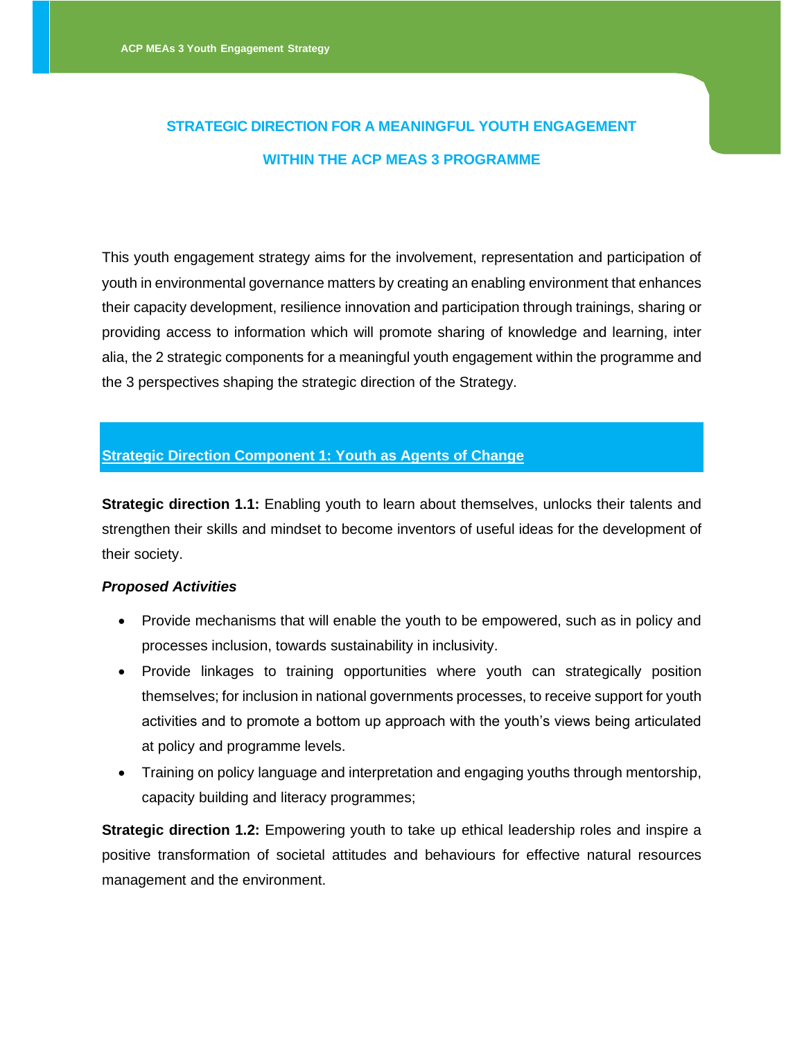# **STRATEGIC DIRECTION FOR A MEANINGFUL YOUTH ENGAGEMENT WITHIN THE ACP MEAS 3 PROGRAMME**

This youth engagement strategy aims for the involvement, representation and participation of youth in environmental governance matters by creating an enabling environment that enhances their capacity development, resilience innovation and participation through trainings, sharing or providing access to information which will promote sharing of knowledge and learning, inter alia, the 2 strategic components for a meaningful youth engagement within the programme and the 3 perspectives shaping the strategic direction of the Strategy.

### **Strategic Direction Component 1: Youth as Agents of Change**

**Strategic direction 1.1:** Enabling youth to learn about themselves, unlocks their talents and strengthen their skills and mindset to become inventors of useful ideas for the development of their society.

#### *Proposed Activities*

- Provide mechanisms that will enable the youth to be empowered, such as in policy and processes inclusion, towards sustainability in inclusivity.
- Provide linkages to training opportunities where youth can strategically position themselves; for inclusion in national governments processes, to receive support for youth activities and to promote a bottom up approach with the youth's views being articulated at policy and programme levels.
- Training on policy language and interpretation and engaging youths through mentorship, capacity building and literacy programmes;

**Strategic direction 1.2:** Empowering youth to take up ethical leadership roles and inspire a positive transformation of societal attitudes and behaviours for effective natural resources management and the environment.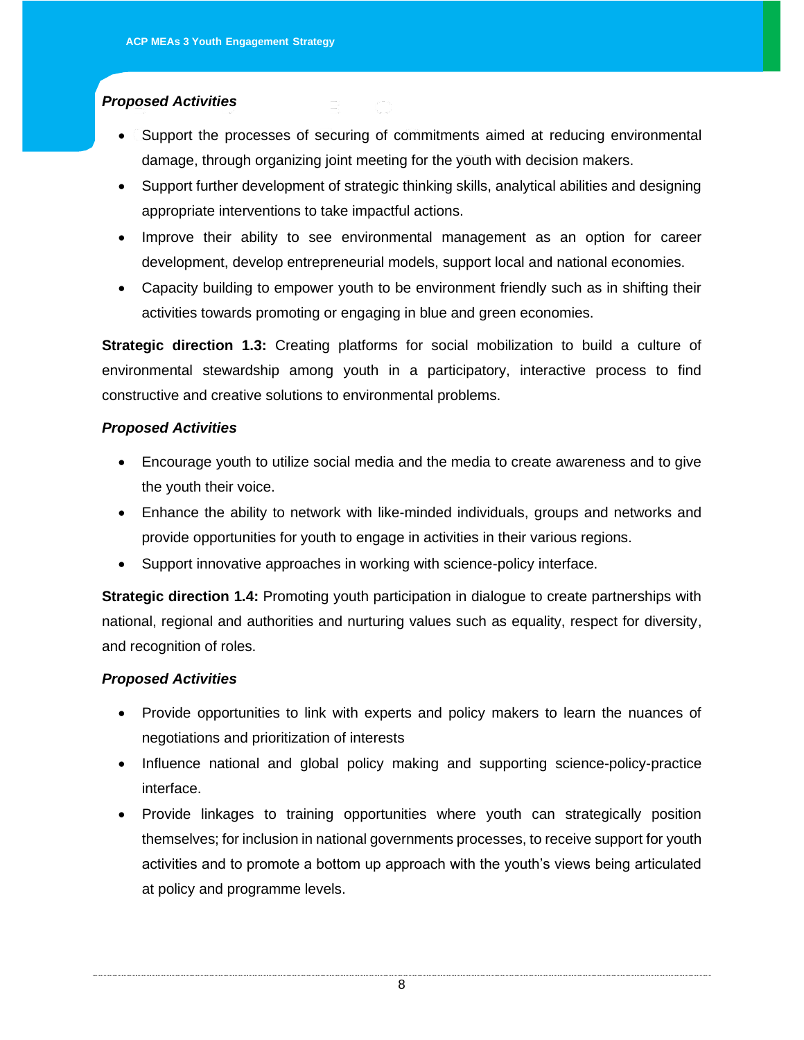# *Proposed Activities*

- Support the processes of securing of commitments aimed at reducing environmental damage, through organizing joint meeting for the youth with decision makers.
- Support further development of strategic thinking skills, analytical abilities and designing appropriate interventions to take impactful actions.
- Improve their ability to see environmental management as an option for career development, develop entrepreneurial models, support local and national economies.
- Capacity building to empower youth to be environment friendly such as in shifting their activities towards promoting or engaging in blue and green economies.

**Strategic direction 1.3:** Creating platforms for social mobilization to build a culture of environmental stewardship among youth in a participatory, interactive process to find constructive and creative solutions to environmental problems.

#### *Proposed Activities*

- Encourage youth to utilize social media and the media to create awareness and to give the youth their voice.
- Enhance the ability to network with like-minded individuals, groups and networks and provide opportunities for youth to engage in activities in their various regions.
- Support innovative approaches in working with science-policy interface.

**Strategic direction 1.4:** Promoting youth participation in dialogue to create partnerships with national, regional and authorities and nurturing values such as equality, respect for diversity, and recognition of roles.

#### *Proposed Activities*

- Provide opportunities to link with experts and policy makers to learn the nuances of negotiations and prioritization of interests
- Influence national and global policy making and supporting science-policy-practice interface.
- Provide linkages to training opportunities where youth can strategically position themselves; for inclusion in national governments processes, to receive support for youth activities and to promote a bottom up approach with the youth's views being articulated at policy and programme levels.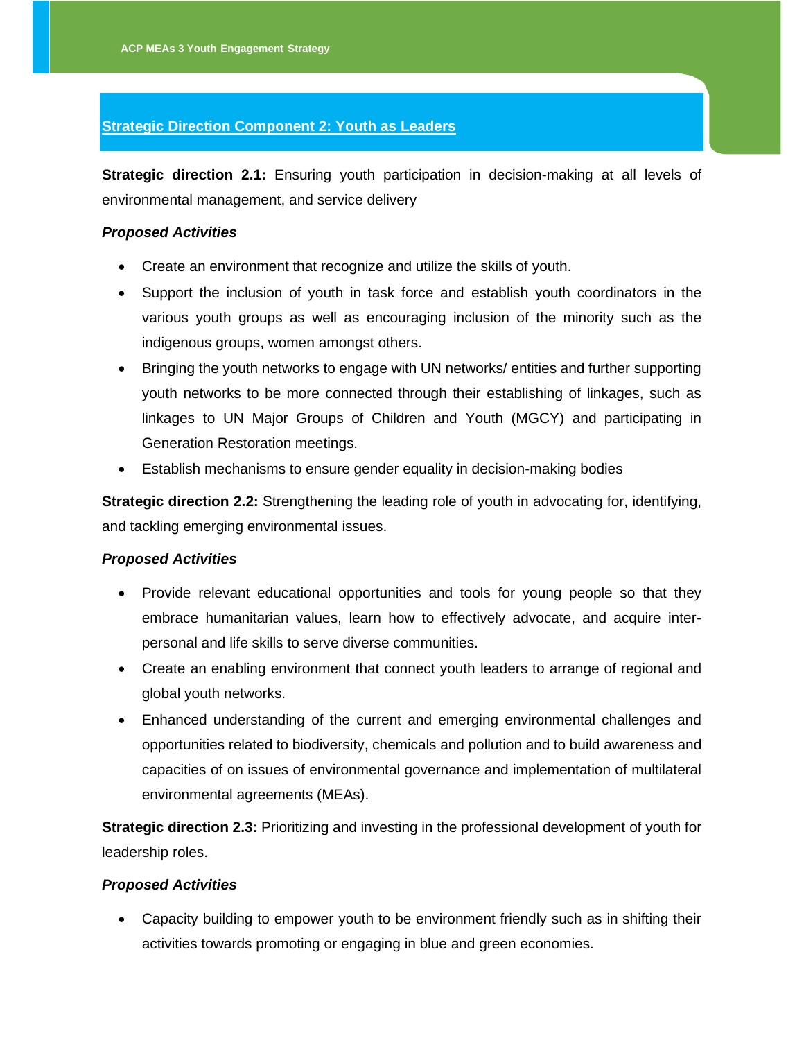#### **Strategic Direction Component 2: Youth as Leaders**

**Strategic direction 2.1:** Ensuring youth participation in decision-making at all levels of environmental management, and service delivery

#### *Proposed Activities*

- Create an environment that recognize and utilize the skills of youth.
- Support the inclusion of youth in task force and establish youth coordinators in the various youth groups as well as encouraging inclusion of the minority such as the indigenous groups, women amongst others.
- Bringing the youth networks to engage with UN networks/ entities and further supporting youth networks to be more connected through their establishing of linkages, such as linkages to UN Major Groups of Children and Youth (MGCY) and participating in Generation Restoration meetings.
- Establish mechanisms to ensure gender equality in decision-making bodies

**Strategic direction 2.2:** Strengthening the leading role of youth in advocating for, identifying, and tackling emerging environmental issues.

#### *Proposed Activities*

- Provide relevant educational opportunities and tools for young people so that they embrace humanitarian values, learn how to effectively advocate, and acquire interpersonal and life skills to serve diverse communities.
- Create an enabling environment that connect youth leaders to arrange of regional and global youth networks.
- Enhanced understanding of the current and emerging environmental challenges and opportunities related to biodiversity, chemicals and pollution and to build awareness and capacities of on issues of environmental governance and implementation of multilateral environmental agreements (MEAs).

**Strategic direction 2.3:** Prioritizing and investing in the professional development of youth for leadership roles.

#### *Proposed Activities*

• Capacity building to empower youth to be environment friendly such as in shifting their activities towards promoting or engaging in blue and green economies.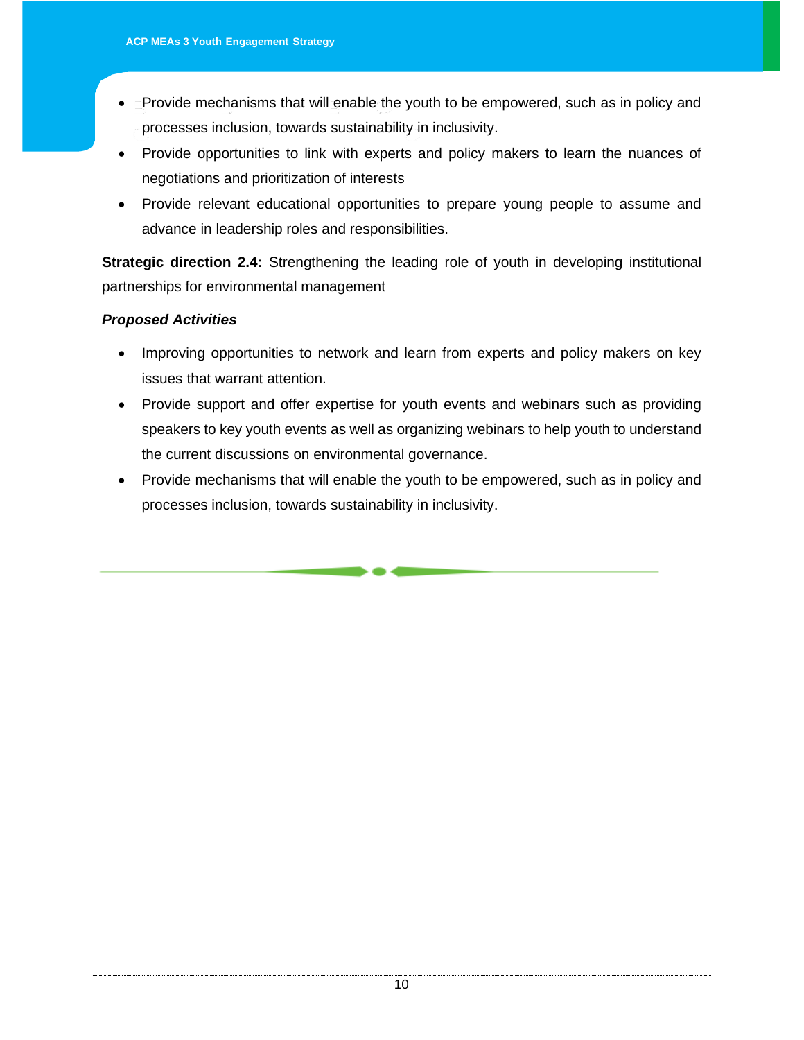- Provide mechanisms that will enable the youth to be empowered, such as in policy and processes inclusion, towards sustainability in inclusivity.
- Provide opportunities to link with experts and policy makers to learn the nuances of negotiations and prioritization of interests
- Provide relevant educational opportunities to prepare young people to assume and advance in leadership roles and responsibilities.

**Strategic direction 2.4:** Strengthening the leading role of youth in developing institutional partnerships for environmental management

# *Proposed Activities*

- Improving opportunities to network and learn from experts and policy makers on key issues that warrant attention.
- Provide support and offer expertise for youth events and webinars such as providing speakers to key youth events as well as organizing webinars to help youth to understand the current discussions on environmental governance.
- Provide mechanisms that will enable the youth to be empowered, such as in policy and processes inclusion, towards sustainability in inclusivity.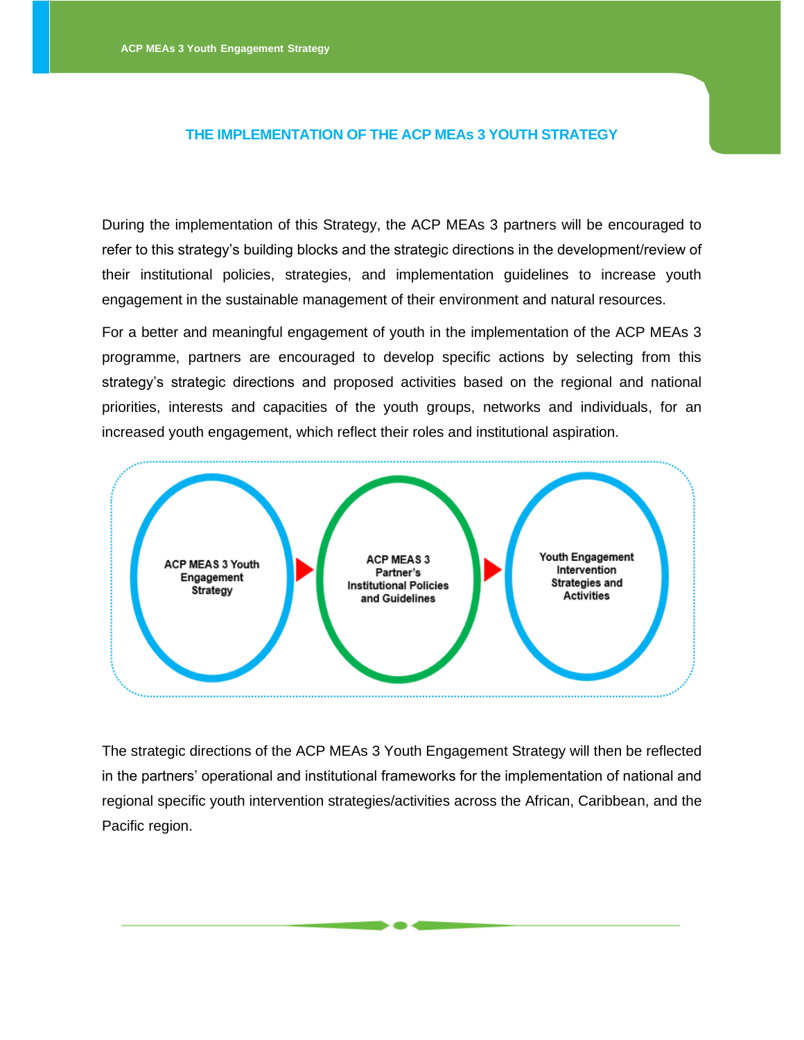#### **THE IMPLEMENTATION OF THE ACP MEAs 3 YOUTH STRATEGY**

During the implementation of this Strategy, the ACP MEAs 3 partners will be encouraged to refer to this strategy's building blocks and the strategic directions in the development/review of their institutional policies, strategies, and implementation guidelines to increase youth engagement in the sustainable management of their environment and natural resources.

For a better and meaningful engagement of youth in the implementation of the ACP MEAs 3 programme, partners are encouraged to develop specific actions by selecting from this strategy's strategic directions and proposed activities based on the regional and national priorities, interests and capacities of the youth groups, networks and individuals, for an increased youth engagement, which reflect their roles and institutional aspiration.



The strategic directions of the ACP MEAs 3 Youth Engagement Strategy will then be reflected in the partners' operational and institutional frameworks for the implementation of national and regional specific youth intervention strategies/activities across the African, Caribbean, and the Pacific region.